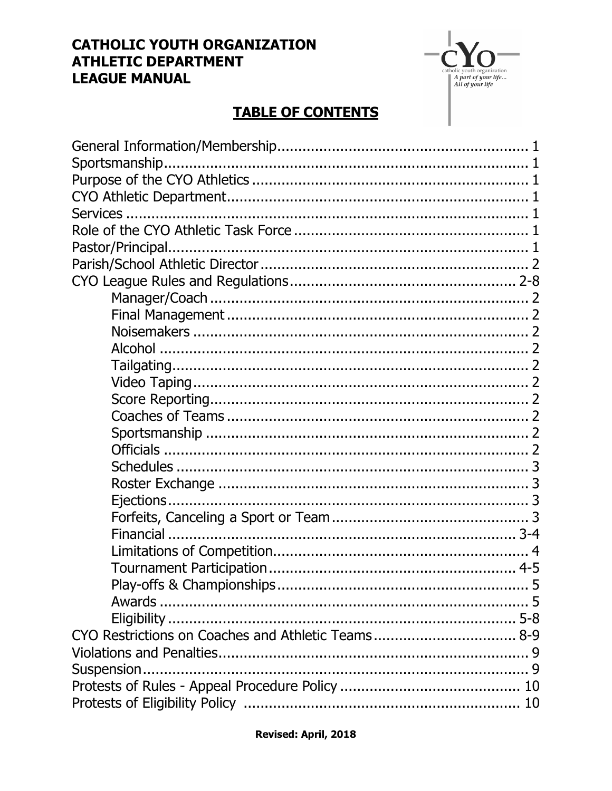## **CATHOLIC YOUTH ORGANIZATION ATHLETIC DEPARTMENT LEAGUE MANUAL**

 $A$  part of your life...<br>A part of your life...<br>All of your life

## **TABLE OF CONTENTS**

| CYO Restrictions on Coaches and Athletic Teams 8-9 |  |
|----------------------------------------------------|--|
|                                                    |  |
|                                                    |  |
|                                                    |  |
|                                                    |  |
|                                                    |  |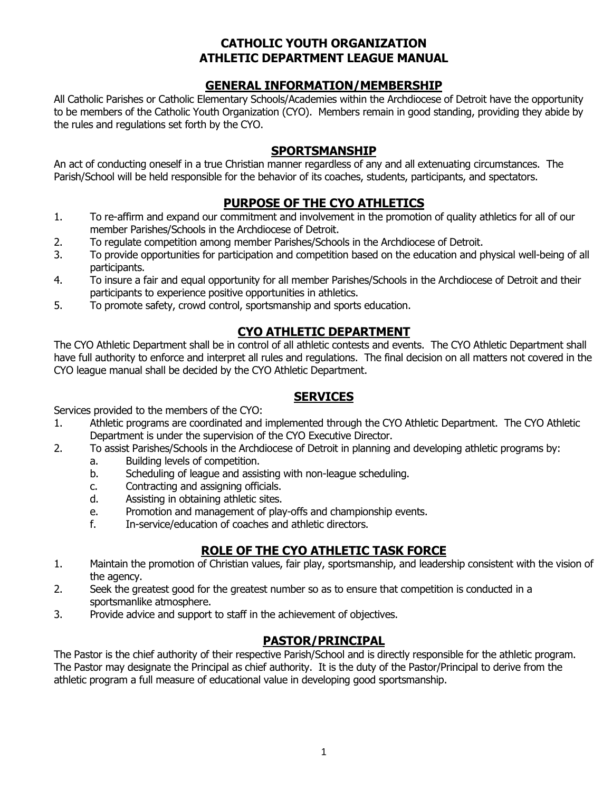## **CATHOLIC YOUTH ORGANIZATION ATHLETIC DEPARTMENT LEAGUE MANUAL**

#### **GENERAL INFORMATION/MEMBERSHIP**

All Catholic Parishes or Catholic Elementary Schools/Academies within the Archdiocese of Detroit have the opportunity to be members of the Catholic Youth Organization (CYO). Members remain in good standing, providing they abide by the rules and regulations set forth by the CYO.

## **SPORTSMANSHIP**

An act of conducting oneself in a true Christian manner regardless of any and all extenuating circumstances. The Parish/School will be held responsible for the behavior of its coaches, students, participants, and spectators.

#### **PURPOSE OF THE CYO ATHLETICS**

- 1. To re-affirm and expand our commitment and involvement in the promotion of quality athletics for all of our member Parishes/Schools in the Archdiocese of Detroit.
- 2. To regulate competition among member Parishes/Schools in the Archdiocese of Detroit.
- 3. To provide opportunities for participation and competition based on the education and physical well-being of all participants.
- 4. To insure a fair and equal opportunity for all member Parishes/Schools in the Archdiocese of Detroit and their participants to experience positive opportunities in athletics.
- 5. To promote safety, crowd control, sportsmanship and sports education.

## **CYO ATHLETIC DEPARTMENT**

The CYO Athletic Department shall be in control of all athletic contests and events. The CYO Athletic Department shall have full authority to enforce and interpret all rules and regulations. The final decision on all matters not covered in the CYO league manual shall be decided by the CYO Athletic Department.

#### **SERVICES**

Services provided to the members of the CYO:

- 1. Athletic programs are coordinated and implemented through the CYO Athletic Department. The CYO Athletic Department is under the supervision of the CYO Executive Director.
- 2. To assist Parishes/Schools in the Archdiocese of Detroit in planning and developing athletic programs by:
	- a. Building levels of competition.
	- b. Scheduling of league and assisting with non-league scheduling.
	- c. Contracting and assigning officials.
	- d. Assisting in obtaining athletic sites.
	- e. Promotion and management of play-offs and championship events.
	- f. In-service/education of coaches and athletic directors.

## **ROLE OF THE CYO ATHLETIC TASK FORCE**

- 1. Maintain the promotion of Christian values, fair play, sportsmanship, and leadership consistent with the vision of the agency.
- 2. Seek the greatest good for the greatest number so as to ensure that competition is conducted in a sportsmanlike atmosphere.
- 3. Provide advice and support to staff in the achievement of objectives.

## **PASTOR/PRINCIPAL**

The Pastor is the chief authority of their respective Parish/School and is directly responsible for the athletic program. The Pastor may designate the Principal as chief authority. It is the duty of the Pastor/Principal to derive from the athletic program a full measure of educational value in developing good sportsmanship.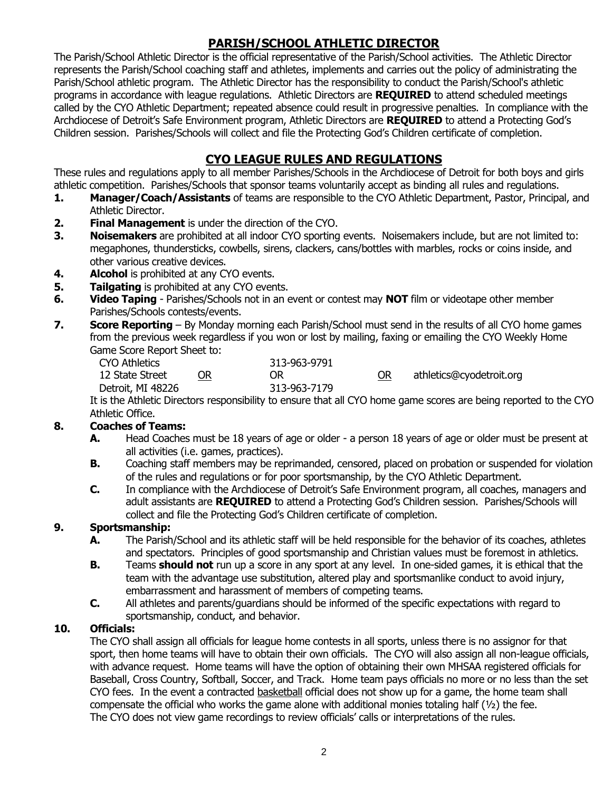## **PARISH/SCHOOL ATHLETIC DIRECTOR**

The Parish/School Athletic Director is the official representative of the Parish/School activities. The Athletic Director represents the Parish/School coaching staff and athletes, implements and carries out the policy of administrating the Parish/School athletic program. The Athletic Director has the responsibility to conduct the Parish/School's athletic programs in accordance with league regulations. Athletic Directors are **REQUIRED** to attend scheduled meetings called by the CYO Athletic Department; repeated absence could result in progressive penalties. In compliance with the Archdiocese of Detroit's Safe Environment program, Athletic Directors are **REQUIRED** to attend a Protecting God's Children session. Parishes/Schools will collect and file the Protecting God's Children certificate of completion.

## **CYO LEAGUE RULES AND REGULATIONS**

These rules and regulations apply to all member Parishes/Schools in the Archdiocese of Detroit for both boys and girls athletic competition. Parishes/Schools that sponsor teams voluntarily accept as binding all rules and regulations.

- **1. Manager/Coach/Assistants** of teams are responsible to the CYO Athletic Department, Pastor, Principal, and Athletic Director.
- **2. Final Management** is under the direction of the CYO.
- **3. Noisemakers** are prohibited at all indoor CYO sporting events. Noisemakers include, but are not limited to: megaphones, thundersticks, cowbells, sirens, clackers, cans/bottles with marbles, rocks or coins inside, and other various creative devices.
- **4. Alcohol** is prohibited at any CYO events.
- **5. Tailgating** is prohibited at any CYO events.
- **6. Video Taping** Parishes/Schools not in an event or contest may **NOT** film or videotape other member Parishes/Schools contests/events.
- **7. Score Reporting** By Monday morning each Parish/School must send in the results of all CYO home games from the previous week regardless if you won or lost by mailing, faxing or emailing the CYO Weekly Home Game Score Report Sheet to:

| <b>CYO Athletics</b> |           | 313-963-9791 |    |                          |
|----------------------|-----------|--------------|----|--------------------------|
| 12 State Street      | <b>OR</b> | <b>OR</b>    | OR | athletics@cyodetroit.org |
| Detroit, MI 48226    |           | 313-963-7179 |    |                          |
|                      |           |              |    |                          |

It is the Athletic Directors responsibility to ensure that all CYO home game scores are being reported to the CYO Athletic Office.

#### **8. Coaches of Teams:**

- **A.** Head Coaches must be 18 years of age or older a person 18 years of age or older must be present at all activities (i.e. games, practices).
- **B.** Coaching staff members may be reprimanded, censored, placed on probation or suspended for violation of the rules and regulations or for poor sportsmanship, by the CYO Athletic Department.
- **C.** In compliance with the Archdiocese of Detroit's Safe Environment program, all coaches, managers and adult assistants are **REQUIRED** to attend a Protecting God's Children session. Parishes/Schools will collect and file the Protecting God's Children certificate of completion.

#### **9. Sportsmanship:**

- **A.** The Parish/School and its athletic staff will be held responsible for the behavior of its coaches, athletes and spectators. Principles of good sportsmanship and Christian values must be foremost in athletics.
- **B.** Teams **should not** run up a score in any sport at any level. In one-sided games, it is ethical that the team with the advantage use substitution, altered play and sportsmanlike conduct to avoid injury, embarrassment and harassment of members of competing teams.
- **C.** All athletes and parents/guardians should be informed of the specific expectations with regard to sportsmanship, conduct, and behavior.

#### **10. Officials:**

The CYO shall assign all officials for league home contests in all sports, unless there is no assignor for that sport, then home teams will have to obtain their own officials. The CYO will also assign all non-league officials, with advance request. Home teams will have the option of obtaining their own MHSAA registered officials for Baseball, Cross Country, Softball, Soccer, and Track. Home team pays officials no more or no less than the set CYO fees. In the event a contracted basketball official does not show up for a game, the home team shall compensate the official who works the game alone with additional monies totaling half  $(1/2)$  the fee. The CYO does not view game recordings to review officials' calls or interpretations of the rules.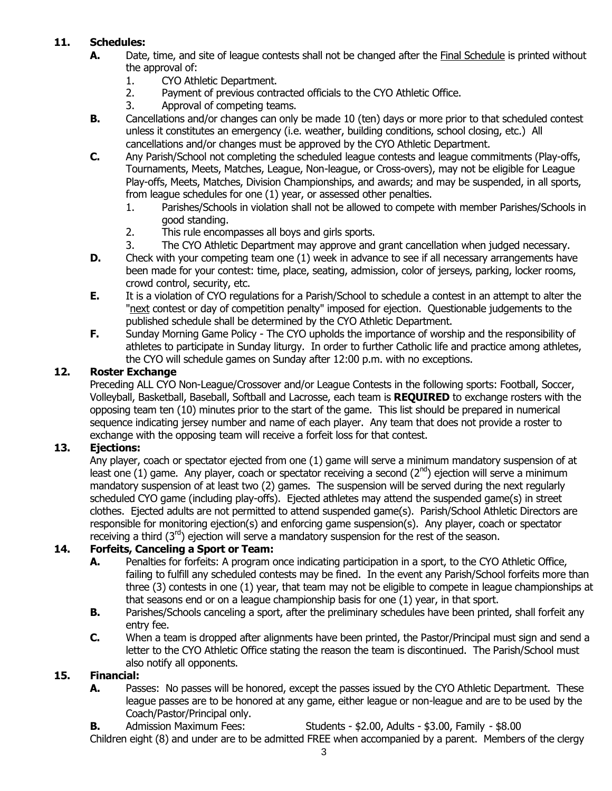## **11. Schedules:**

- **A.** Date, time, and site of league contests shall not be changed after the Final Schedule is printed without the approval of:
	- 1. CYO Athletic Department.
	- 2. Payment of previous contracted officials to the CYO Athletic Office.
	- 3. Approval of competing teams.
- **B.** Cancellations and/or changes can only be made 10 (ten) days or more prior to that scheduled contest unless it constitutes an emergency (i.e. weather, building conditions, school closing, etc.) All cancellations and/or changes must be approved by the CYO Athletic Department.
- **C.** Any Parish/School not completing the scheduled league contests and league commitments (Play-offs, Tournaments, Meets, Matches, League, Non-league, or Cross-overs), may not be eligible for League Play-offs, Meets, Matches, Division Championships, and awards; and may be suspended, in all sports, from league schedules for one (1) year, or assessed other penalties.
	- 1. Parishes/Schools in violation shall not be allowed to compete with member Parishes/Schools in good standing.
	- 2. This rule encompasses all boys and girls sports.
	- 3. The CYO Athletic Department may approve and grant cancellation when judged necessary.
- **D.** Check with your competing team one (1) week in advance to see if all necessary arrangements have been made for your contest: time, place, seating, admission, color of jerseys, parking, locker rooms, crowd control, security, etc.
- **E.** It is a violation of CYO regulations for a Parish/School to schedule a contest in an attempt to alter the "next contest or day of competition penalty" imposed for ejection. Questionable judgements to the published schedule shall be determined by the CYO Athletic Department.
- **F.** Sunday Morning Game Policy The CYO upholds the importance of worship and the responsibility of athletes to participate in Sunday liturgy. In order to further Catholic life and practice among athletes, the CYO will schedule games on Sunday after 12:00 p.m. with no exceptions.

#### **12. Roster Exchange**

Preceding ALL CYO Non-League/Crossover and/or League Contests in the following sports: Football, Soccer, Volleyball, Basketball, Baseball, Softball and Lacrosse, each team is **REQUIRED** to exchange rosters with the opposing team ten (10) minutes prior to the start of the game. This list should be prepared in numerical sequence indicating jersey number and name of each player. Any team that does not provide a roster to exchange with the opposing team will receive a forfeit loss for that contest.

#### **13. Ejections:**

Any player, coach or spectator ejected from one (1) game will serve a minimum mandatory suspension of at least one (1) game. Any player, coach or spectator receiving a second ( $2^{nd}$ ) ejection will serve a minimum mandatory suspension of at least two (2) games. The suspension will be served during the next regularly scheduled CYO game (including play-offs). Ejected athletes may attend the suspended game(s) in street clothes. Ejected adults are not permitted to attend suspended game(s). Parish/School Athletic Directors are responsible for monitoring ejection(s) and enforcing game suspension(s). Any player, coach or spectator receiving a third  $(3<sup>rd</sup>)$  ejection will serve a mandatory suspension for the rest of the season.

## **14. Forfeits, Canceling a Sport or Team:**

- **A.** Penalties for forfeits: A program once indicating participation in a sport, to the CYO Athletic Office, failing to fulfill any scheduled contests may be fined. In the event any Parish/School forfeits more than three (3) contests in one (1) year, that team may not be eligible to compete in league championships at that seasons end or on a league championship basis for one (1) year, in that sport.
- **B.** Parishes/Schools canceling a sport, after the preliminary schedules have been printed, shall forfeit any entry fee.
- **C.** When a team is dropped after alignments have been printed, the Pastor/Principal must sign and send a letter to the CYO Athletic Office stating the reason the team is discontinued. The Parish/School must also notify all opponents.

## **15. Financial:**

**A.** Passes: No passes will be honored, except the passes issued by the CYO Athletic Department. These league passes are to be honored at any game, either league or non-league and are to be used by the Coach/Pastor/Principal only.

**B.** Admission Maximum Fees: Students - \$2.00, Adults - \$3.00, Family - \$8.00

Children eight (8) and under are to be admitted FREE when accompanied by a parent. Members of the clergy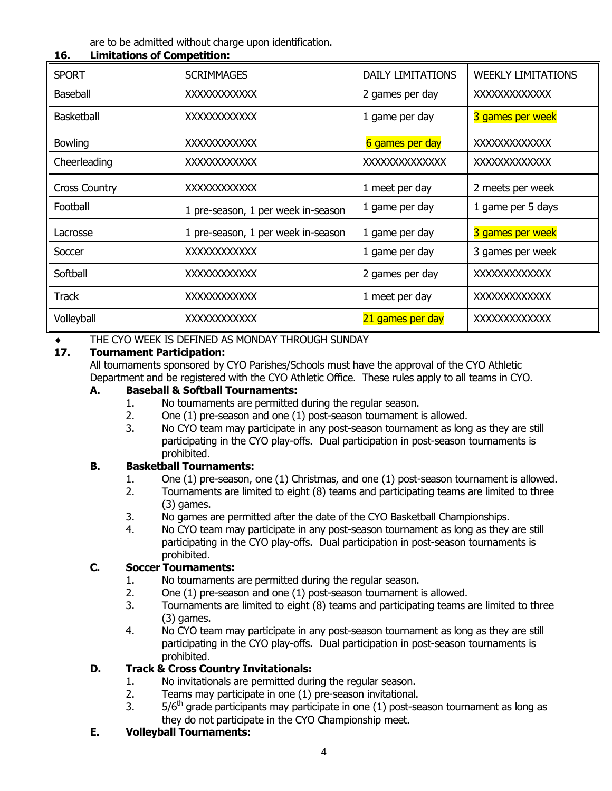are to be admitted without charge upon identification.

| <b>SPORT</b>         | <b>SCRIMMAGES</b>                  | <b>DAILY LIMITATIONS</b> | <b>WEEKLY LIMITATIONS</b> |
|----------------------|------------------------------------|--------------------------|---------------------------|
| <b>Baseball</b>      | <b>XXXXXXXXXXXX</b>                | 2 games per day          | <b>XXXXXXXXXXXXX</b>      |
| <b>Basketball</b>    | <b>XXXXXXXXXXXX</b>                | 1 game per day           | 3 games per week          |
| <b>Bowling</b>       | <b>XXXXXXXXXXXX</b>                | 6 games per day          | <b>XXXXXXXXXXXXX</b>      |
| Cheerleading         | XXXXXXXXXXX                        | <b>XXXXXXXXXXXXXX</b>    | <b>XXXXXXXXXXXXX</b>      |
| <b>Cross Country</b> | <b>XXXXXXXXXXXX</b>                | 1 meet per day           | 2 meets per week          |
| Football             | 1 pre-season, 1 per week in-season | 1 game per day           | 1 game per 5 days         |
| Lacrosse             | 1 pre-season, 1 per week in-season | 1 game per day           | 3 games per week          |
| Soccer               | XXXXXXXXXXX                        | 1 game per day           | 3 games per week          |
| Softball             | XXXXXXXXXXX                        | 2 games per day          | <b>XXXXXXXXXXXXX</b>      |
| <b>Track</b>         | <b>XXXXXXXXXXXX</b>                | 1 meet per day           | <b>XXXXXXXXXXXXX</b>      |
| Volleyball           | <b>XXXXXXXXXXXX</b>                | 21 games per day         | <b>XXXXXXXXXXXX</b>       |

#### **16. Limitations of Competition:**

# **THE CYO WEEK IS DEFINED AS MONDAY THROUGH SUNDAY 17. Tournament Participation:**

#### **17. Tournament Participation:**

All tournaments sponsored by CYO Parishes/Schools must have the approval of the CYO Athletic Department and be registered with the CYO Athletic Office. These rules apply to all teams in CYO.

## **A. Baseball & Softball Tournaments:**

- 1. No tournaments are permitted during the regular season.
- 2. One (1) pre-season and one (1) post-season tournament is allowed.
- 3. No CYO team may participate in any post-season tournament as long as they are still participating in the CYO play-offs. Dual participation in post-season tournaments is prohibited.

#### **B. Basketball Tournaments:**

- 1. One (1) pre-season, one (1) Christmas, and one (1) post-season tournament is allowed.
- 2. Tournaments are limited to eight (8) teams and participating teams are limited to three (3) games.
- 3. No games are permitted after the date of the CYO Basketball Championships.
- 4. No CYO team may participate in any post-season tournament as long as they are still participating in the CYO play-offs. Dual participation in post-season tournaments is prohibited.

#### **C. Soccer Tournaments:**

- 1. No tournaments are permitted during the regular season.
- 2. One (1) pre-season and one (1) post-season tournament is allowed.
- 3. Tournaments are limited to eight (8) teams and participating teams are limited to three (3) games.
- 4. No CYO team may participate in any post-season tournament as long as they are still participating in the CYO play-offs. Dual participation in post-season tournaments is prohibited.

#### **D. Track & Cross Country Invitationals:**

- 1. No invitationals are permitted during the regular season.
- 2. Teams may participate in one (1) pre-season invitational.
- 3.  $5/6<sup>th</sup>$  grade participants may participate in one (1) post-season tournament as long as they do not participate in the CYO Championship meet.

#### **E. Volleyball Tournaments:**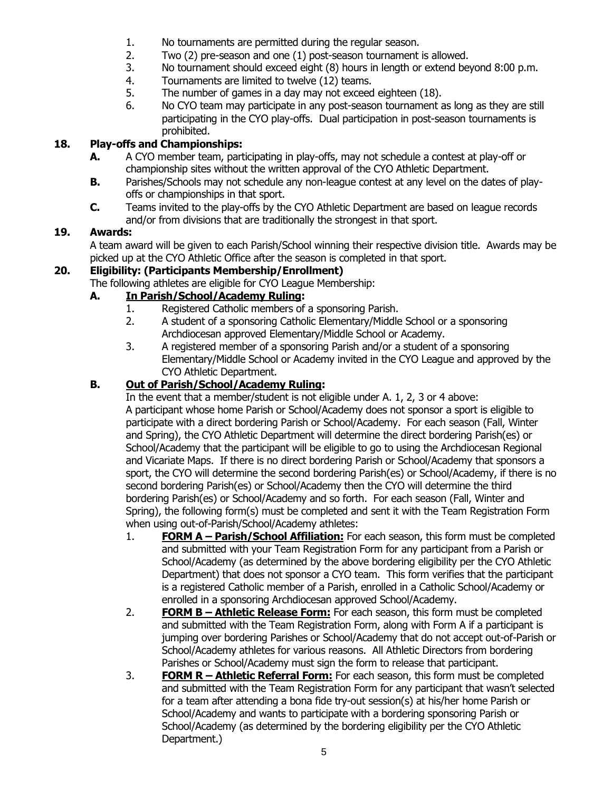- 1. No tournaments are permitted during the regular season.
- 2. Two (2) pre-season and one (1) post-season tournament is allowed.
- 3. No tournament should exceed eight (8) hours in length or extend beyond 8:00 p.m.
- 4. Tournaments are limited to twelve (12) teams.
- 5. The number of games in a day may not exceed eighteen (18).
- 6. No CYO team may participate in any post-season tournament as long as they are still participating in the CYO play-offs. Dual participation in post-season tournaments is prohibited.

## **18. Play-offs and Championships:**

- **A.** A CYO member team, participating in play-offs, may not schedule a contest at play-off or championship sites without the written approval of the CYO Athletic Department.
- **B.** Parishes/Schools may not schedule any non-league contest at any level on the dates of playoffs or championships in that sport.
- **C.** Teams invited to the play-offs by the CYO Athletic Department are based on league records and/or from divisions that are traditionally the strongest in that sport.

## **19. Awards:**

A team award will be given to each Parish/School winning their respective division title. Awards may be picked up at the CYO Athletic Office after the season is completed in that sport.

## **20. Eligibility: (Participants Membership/Enrollment)**

The following athletes are eligible for CYO League Membership:

## **A. In Parish/School/Academy Ruling:**

- 1. Registered Catholic members of a sponsoring Parish.
- 2. A student of a sponsoring Catholic Elementary/Middle School or a sponsoring Archdiocesan approved Elementary/Middle School or Academy.
- 3. A registered member of a sponsoring Parish and/or a student of a sponsoring Elementary/Middle School or Academy invited in the CYO League and approved by the CYO Athletic Department.

## **B. Out of Parish/School/Academy Ruling:**

In the event that a member/student is not eligible under A. 1, 2, 3 or 4 above: A participant whose home Parish or School/Academy does not sponsor a sport is eligible to participate with a direct bordering Parish or School/Academy. For each season (Fall, Winter and Spring), the CYO Athletic Department will determine the direct bordering Parish(es) or School/Academy that the participant will be eligible to go to using the Archdiocesan Regional and Vicariate Maps. If there is no direct bordering Parish or School/Academy that sponsors a sport, the CYO will determine the second bordering Parish(es) or School/Academy, if there is no second bordering Parish(es) or School/Academy then the CYO will determine the third bordering Parish(es) or School/Academy and so forth. For each season (Fall, Winter and Spring), the following form(s) must be completed and sent it with the Team Registration Form when using out-of-Parish/School/Academy athletes:

- 1. **FORM A – Parish/School Affiliation:** For each season, this form must be completed and submitted with your Team Registration Form for any participant from a Parish or School/Academy (as determined by the above bordering eligibility per the CYO Athletic Department) that does not sponsor a CYO team. This form verifies that the participant is a registered Catholic member of a Parish, enrolled in a Catholic School/Academy or enrolled in a sponsoring Archdiocesan approved School/Academy.
- 2. **FORM B – Athletic Release Form:** For each season, this form must be completed and submitted with the Team Registration Form, along with Form A if a participant is jumping over bordering Parishes or School/Academy that do not accept out-of-Parish or School/Academy athletes for various reasons. All Athletic Directors from bordering Parishes or School/Academy must sign the form to release that participant.
- 3. **FORM R – Athletic Referral Form:** For each season, this form must be completed and submitted with the Team Registration Form for any participant that wasn't selected for a team after attending a bona fide try-out session(s) at his/her home Parish or School/Academy and wants to participate with a bordering sponsoring Parish or School/Academy (as determined by the bordering eligibility per the CYO Athletic Department.)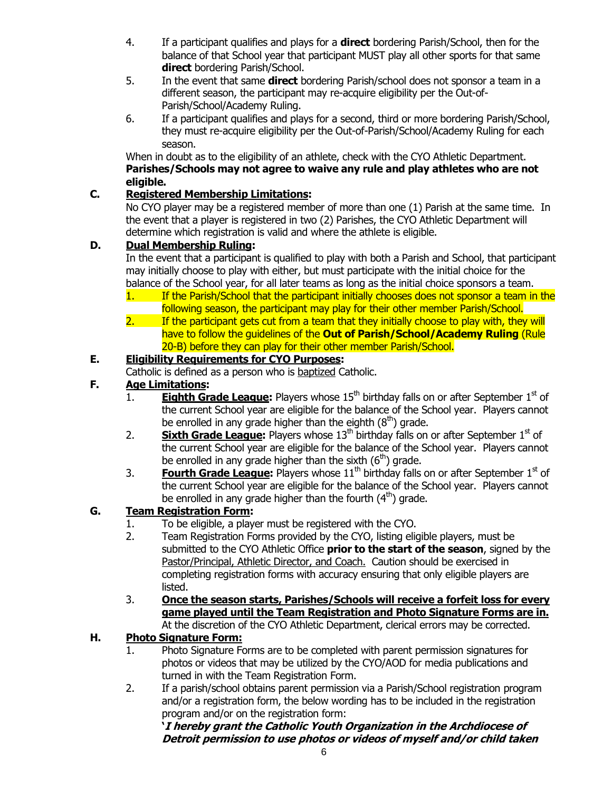- 4. If a participant qualifies and plays for a **direct** bordering Parish/School, then for the balance of that School year that participant MUST play all other sports for that same **direct** bordering Parish/School.
- 5. In the event that same **direct** bordering Parish/school does not sponsor a team in a different season, the participant may re-acquire eligibility per the Out-of-Parish/School/Academy Ruling.
- 6. If a participant qualifies and plays for a second, third or more bordering Parish/School, they must re-acquire eligibility per the Out-of-Parish/School/Academy Ruling for each season.

When in doubt as to the eligibility of an athlete, check with the CYO Athletic Department. **Parishes/Schools may not agree to waive any rule and play athletes who are not eligible.**

## **C. Registered Membership Limitations:**

No CYO player may be a registered member of more than one (1) Parish at the same time. In the event that a player is registered in two (2) Parishes, the CYO Athletic Department will determine which registration is valid and where the athlete is eligible.

## **D. Dual Membership Ruling:**

In the event that a participant is qualified to play with both a Parish and School, that participant may initially choose to play with either, but must participate with the initial choice for the balance of the School year, for all later teams as long as the initial choice sponsors a team.

- 1. If the Parish/School that the participant initially chooses does not sponsor a team in the following season, the participant may play for their other member Parish/School.
- 2. If the participant gets cut from a team that they initially choose to play with, they will have to follow the guidelines of the **Out of Parish/School/Academy Ruling** (Rule 20-B) before they can play for their other member Parish/School.

## **E. Eligibility Requirements for CYO Purposes:**

Catholic is defined as a person who is baptized Catholic.

## **F. Age Limitations:**

- 1. **Eighth Grade League:** Players whose 15<sup>th</sup> birthday falls on or after September 1<sup>st</sup> of the current School year are eligible for the balance of the School year. Players cannot be enrolled in any grade higher than the eighth  $(8<sup>th</sup>)$  grade.
- 2. **Sixth Grade League:** Players whose 13<sup>th</sup> birthday falls on or after September 1<sup>st</sup> of the current School year are eligible for the balance of the School year. Players cannot be enrolled in any grade higher than the sixth  $(6<sup>th</sup>)$  grade.
- 3. **Fourth Grade League:** Players whose 11<sup>th</sup> birthday falls on or after September 1<sup>st</sup> of the current School year are eligible for the balance of the School year. Players cannot be enrolled in any grade higher than the fourth  $(4<sup>th</sup>)$  grade.

## **G. Team Registration Form:**

- 1. To be eligible, a player must be registered with the CYO.
- 2. Team Registration Forms provided by the CYO, listing eligible players, must be submitted to the CYO Athletic Office **prior to the start of the season**, signed by the Pastor/Principal, Athletic Director, and Coach. Caution should be exercised in completing registration forms with accuracy ensuring that only eligible players are listed.
- 3. **Once the season starts, Parishes/Schools will receive a forfeit loss for every game played until the Team Registration and Photo Signature Forms are in.** At the discretion of the CYO Athletic Department, clerical errors may be corrected.

## **H. Photo Signature Form:**

- 1. Photo Signature Forms are to be completed with parent permission signatures for photos or videos that may be utilized by the CYO/AOD for media publications and turned in with the Team Registration Form.
- 2. If a parish/school obtains parent permission via a Parish/School registration program and/or a registration form, the below wording has to be included in the registration program and/or on the registration form:

**'I hereby grant the Catholic Youth Organization in the Archdiocese of Detroit permission to use photos or videos of myself and/or child taken**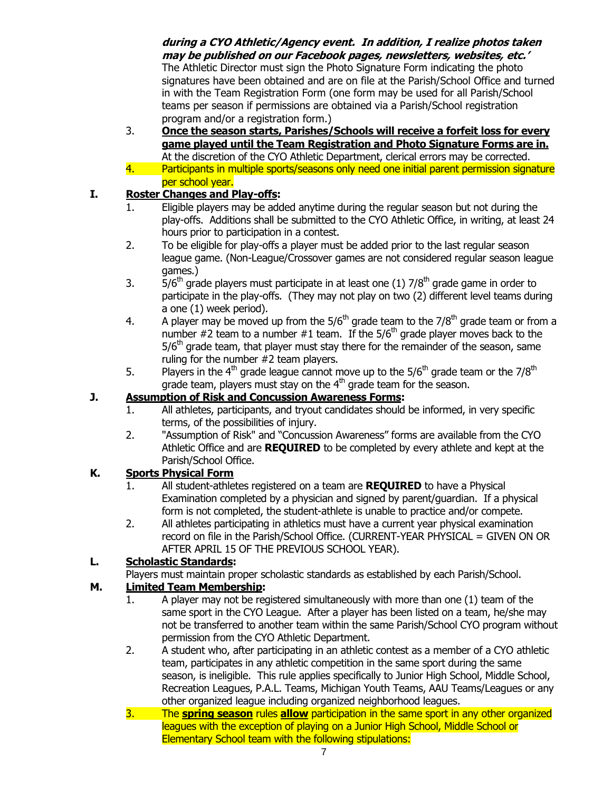#### **during a CYO Athletic/Agency event. In addition, I realize photos taken may be published on our Facebook pages, newsletters, websites, etc.'**

The Athletic Director must sign the Photo Signature Form indicating the photo signatures have been obtained and are on file at the Parish/School Office and turned in with the Team Registration Form (one form may be used for all Parish/School teams per season if permissions are obtained via a Parish/School registration program and/or a registration form.)

3. **Once the season starts, Parishes/Schools will receive a forfeit loss for every game played until the Team Registration and Photo Signature Forms are in.** At the discretion of the CYO Athletic Department, clerical errors may be corrected. 4. Participants in multiple sports/seasons only need one initial parent permission signature per school year.

#### **I. Roster Changes and Play-offs:**

- 1. Eligible players may be added anytime during the regular season but not during the play-offs. Additions shall be submitted to the CYO Athletic Office, in writing, at least 24 hours prior to participation in a contest.
- 2. To be eligible for play-offs a player must be added prior to the last regular season league game. (Non-League/Crossover games are not considered regular season league games.)
- 3.  $\overline{5}/6^{\text{th}}$  grade players must participate in at least one (1)  $7/8^{\text{th}}$  grade game in order to participate in the play-offs. (They may not play on two (2) different level teams during a one (1) week period).
- 4. A player may be moved up from the  $5/6<sup>th</sup>$  grade team to the  $7/8<sup>th</sup>$  grade team or from a number  $#2$  team to a number  $#1$  team. If the 5/6<sup>th</sup> grade player moves back to the  $5/6<sup>th</sup>$  grade team, that player must stay there for the remainder of the season, same ruling for the number #2 team players.
- 5. Players in the 4<sup>th</sup> grade league cannot move up to the  $5/6^{th}$  grade team or the  $7/8^{th}$ grade team, players must stay on the  $4<sup>th</sup>$  grade team for the season.

#### **J. Assumption of Risk and Concussion Awareness Forms:**

- 1. All athletes, participants, and tryout candidates should be informed, in very specific terms, of the possibilities of injury.
- 2. "Assumption of Risk" and "Concussion Awareness" forms are available from the CYO Athletic Office and are **REQUIRED** to be completed by every athlete and kept at the Parish/School Office.

## **K. Sports Physical Form**

- 1. All student-athletes registered on a team are **REQUIRED** to have a Physical Examination completed by a physician and signed by parent/guardian. If a physical form is not completed, the student-athlete is unable to practice and/or compete.
- 2. All athletes participating in athletics must have a current year physical examination record on file in the Parish/School Office. (CURRENT-YEAR PHYSICAL = GIVEN ON OR AFTER APRIL 15 OF THE PREVIOUS SCHOOL YEAR).

## **L. Scholastic Standards:**

Players must maintain proper scholastic standards as established by each Parish/School.

#### **M. Limited Team Membership:**

- 1. A player may not be registered simultaneously with more than one (1) team of the same sport in the CYO League. After a player has been listed on a team, he/she may not be transferred to another team within the same Parish/School CYO program without permission from the CYO Athletic Department.
- 2. A student who, after participating in an athletic contest as a member of a CYO athletic team, participates in any athletic competition in the same sport during the same season, is ineligible. This rule applies specifically to Junior High School, Middle School, Recreation Leagues, P.A.L. Teams, Michigan Youth Teams, AAU Teams/Leagues or any other organized league including organized neighborhood leagues.
- 3. The **spring season** rules **allow** participation in the same sport in any other organized leagues with the exception of playing on a Junior High School, Middle School or Elementary School team with the following stipulations: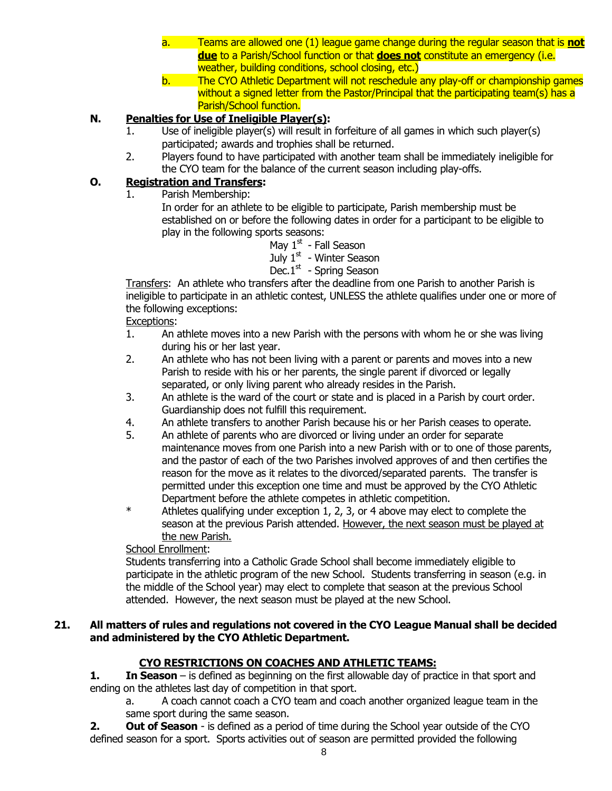- a. Teams are allowed one (1) league game change during the regular season that is **not due** to a Parish/School function or that **does not** constitute an emergency (i.e. weather, building conditions, school closing, etc.)
- b. The CYO Athletic Department will not reschedule any play-off or championship games without a signed letter from the Pastor/Principal that the participating team(s) has a Parish/School function.

## **N. Penalties for Use of Ineligible Player(s):**

- 1. Use of ineligible player(s) will result in forfeiture of all games in which such player(s) participated; awards and trophies shall be returned.
- 2. Players found to have participated with another team shall be immediately ineligible for the CYO team for the balance of the current season including play-offs.

#### **O. Registration and Transfers:**

1. Parish Membership:

In order for an athlete to be eligible to participate, Parish membership must be established on or before the following dates in order for a participant to be eligible to play in the following sports seasons:

May 1<sup>st</sup> - Fall Season

July 1<sup>st</sup> - Winter Season

#### Dec.1<sup>st</sup> - Spring Season

Transfers: An athlete who transfers after the deadline from one Parish to another Parish is ineligible to participate in an athletic contest, UNLESS the athlete qualifies under one or more of the following exceptions:

#### Exceptions:

- 1. An athlete moves into a new Parish with the persons with whom he or she was living during his or her last year.
- 2. An athlete who has not been living with a parent or parents and moves into a new Parish to reside with his or her parents, the single parent if divorced or legally separated, or only living parent who already resides in the Parish.
- 3. An athlete is the ward of the court or state and is placed in a Parish by court order. Guardianship does not fulfill this requirement.
- 4. An athlete transfers to another Parish because his or her Parish ceases to operate.
- 5. An athlete of parents who are divorced or living under an order for separate maintenance moves from one Parish into a new Parish with or to one of those parents, and the pastor of each of the two Parishes involved approves of and then certifies the reason for the move as it relates to the divorced/separated parents. The transfer is permitted under this exception one time and must be approved by the CYO Athletic Department before the athlete competes in athletic competition.
- \* Athletes qualifying under exception 1, 2, 3, or 4 above may elect to complete the season at the previous Parish attended. However, the next season must be played at the new Parish.

#### School Enrollment:

Students transferring into a Catholic Grade School shall become immediately eligible to participate in the athletic program of the new School. Students transferring in season (e.g. in the middle of the School year) may elect to complete that season at the previous School attended. However, the next season must be played at the new School.

#### **21. All matters of rules and regulations not covered in the CYO League Manual shall be decided and administered by the CYO Athletic Department.**

#### **CYO RESTRICTIONS ON COACHES AND ATHLETIC TEAMS:**

**1. In Season** – is defined as beginning on the first allowable day of practice in that sport and ending on the athletes last day of competition in that sport.

a. A coach cannot coach a CYO team and coach another organized league team in the same sport during the same season.

**2. Out of Season** - is defined as a period of time during the School year outside of the CYO defined season for a sport. Sports activities out of season are permitted provided the following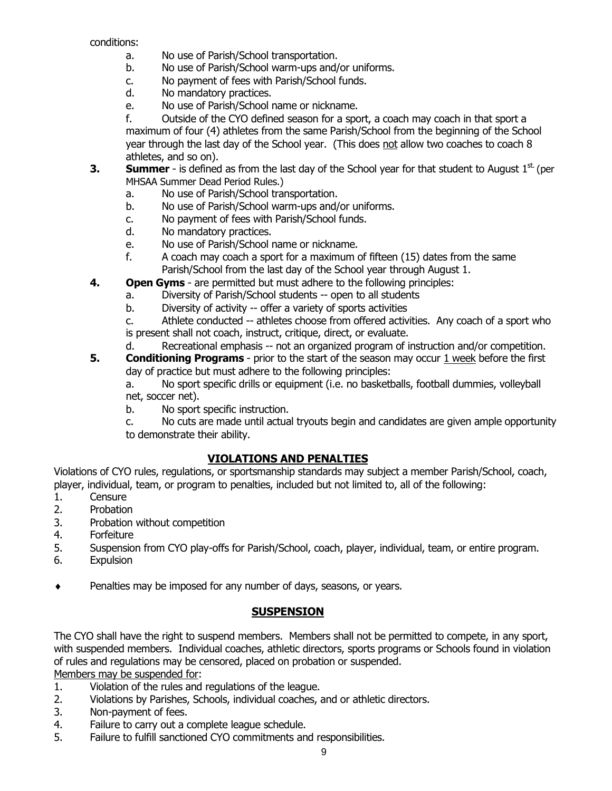conditions:

- a. No use of Parish/School transportation.
- b. No use of Parish/School warm-ups and/or uniforms.
- c. No payment of fees with Parish/School funds.
- d. No mandatory practices.
- e. No use of Parish/School name or nickname.

f. Outside of the CYO defined season for a sport, a coach may coach in that sport a maximum of four (4) athletes from the same Parish/School from the beginning of the School year through the last day of the School year. (This does not allow two coaches to coach 8 athletes, and so on).

- **3. Summer** is defined as from the last day of the School year for that student to August  $1^{st}$  (per MHSAA Summer Dead Period Rules.)
	- a. No use of Parish/School transportation.
	- b. No use of Parish/School warm-ups and/or uniforms.
	- c. No payment of fees with Parish/School funds.
	- d. No mandatory practices.
	- e. No use of Parish/School name or nickname.
	- f. A coach may coach a sport for a maximum of fifteen (15) dates from the same Parish/School from the last day of the School year through August 1.
- **4. Open Gyms** are permitted but must adhere to the following principles:
	- a. Diversity of Parish/School students -- open to all students
	- b. Diversity of activity -- offer a variety of sports activities

c. Athlete conducted -- athletes choose from offered activities. Any coach of a sport who is present shall not coach, instruct, critique, direct, or evaluate.

d. Recreational emphasis -- not an organized program of instruction and/or competition.

**5. Conditioning Programs** - prior to the start of the season may occur 1 week before the first day of practice but must adhere to the following principles:

a. No sport specific drills or equipment (i.e. no basketballs, football dummies, volleyball net, soccer net).

b. No sport specific instruction.

c. No cuts are made until actual tryouts begin and candidates are given ample opportunity to demonstrate their ability.

#### **VIOLATIONS AND PENALTIES**

Violations of CYO rules, regulations, or sportsmanship standards may subject a member Parish/School, coach, player, individual, team, or program to penalties, included but not limited to, all of the following:

- 1. Censure
- 2. Probation
- 3. Probation without competition
- 4. Forfeiture
- 5. Suspension from CYO play-offs for Parish/School, coach, player, individual, team, or entire program.
- 6. Expulsion
- ◆ Penalties may be imposed for any number of days, seasons, or years.

## **SUSPENSION**

The CYO shall have the right to suspend members. Members shall not be permitted to compete, in any sport, with suspended members. Individual coaches, athletic directors, sports programs or Schools found in violation of rules and regulations may be censored, placed on probation or suspended.

Members may be suspended for:

- 1. Violation of the rules and regulations of the league.
- 2. Violations by Parishes, Schools, individual coaches, and or athletic directors.
- 3. Non-payment of fees.
- 4. Failure to carry out a complete league schedule.
- 5. Failure to fulfill sanctioned CYO commitments and responsibilities.